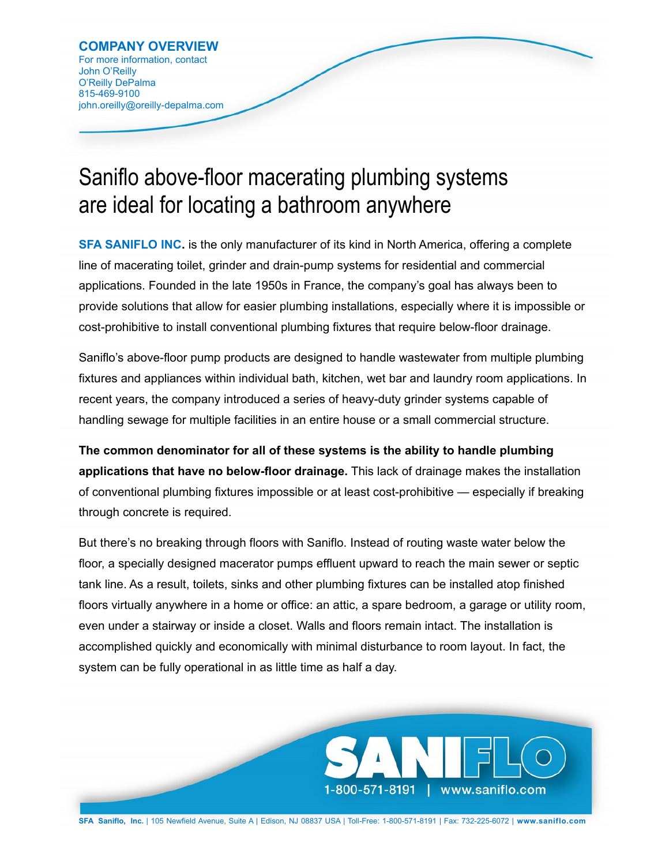## Saniflo above-floor macerating plumbing systems are ideal for locating a bathroom anywhere

**[SFA SANIFLO INC.](http://www.saniflo.com/)** is the only manufacturer of its kind in North America, offering a complete line of macerating toilet, grinder and drain-pump systems for residential and commercial applications. Founded in the late 1950s in France, the company's goal has always been to provide solutions that allow for easier plumbing installations, especially where it is impossible or cost-prohibitive to install conventional plumbing fixtures that require below-floor drainage.

Saniflo's above-floor pump products are designed to handle wastewater from multiple plumbing fixtures and appliances within individual bath, kitchen, wet bar and laundry room applications. In recent years, the company introduced a series of heavy-duty grinder systems capable of handling sewage for multiple facilities in an entire house or a small commercial structure.

**The common denominator for all of these systems is the ability to handle plumbing applications that have no below-floor drainage.** This lack of drainage makes the installation of conventional plumbing fixtures impossible or at least cost-prohibitive — especially if breaking through concrete is required.

But there's no breaking through floors with Saniflo. Instead of routing waste water below the floor, a specially designed macerator pumps effluent upward to reach the main sewer or septic tank line. As a result, toilets, sinks and other plumbing fixtures can be installed atop finished floors virtually anywhere in a home or office: an attic, a spare bedroom, a garage or utility room, even under a stairway or inside a closet. Walls and floors remain intact. The installation is accomplished quickly and economically with minimal disturbance to room layout. In fact, the system can be fully operational in as little time as half a day.



**SFA Saniflo, Inc.** | 105 Newfield Avenue, Suite A | Edison, NJ 08837 USA | Toll-Free: 1-800-571-8191 | Fax: 732-225-6072 | **[www.saniflo.com](http://www.saniflo.com/)**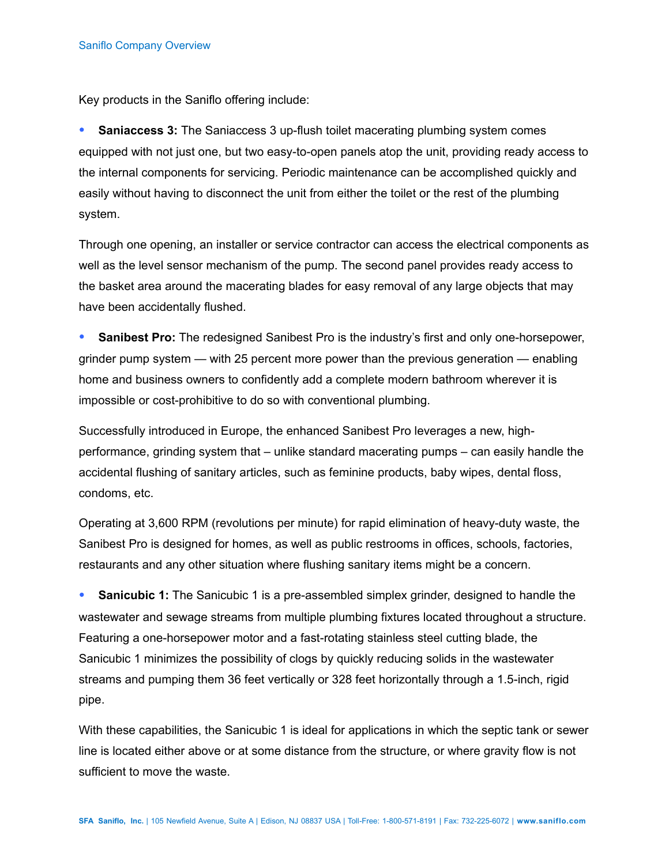Key products in the Saniflo offering include:

 **Saniaccess 3:** The Saniaccess 3 up-flush toilet macerating plumbing system comes equipped with not just one, but two easy-to-open panels atop the unit, providing ready access to the internal components for servicing. Periodic maintenance can be accomplished quickly and easily without having to disconnect the unit from either the toilet or the rest of the plumbing system.

Through one opening, an installer or service contractor can access the electrical components as well as the level sensor mechanism of the pump. The second panel provides ready access to the basket area around the macerating blades for easy removal of any large objects that may have been accidentally flushed.

 **Sanibest Pro:** The redesigned Sanibest Pro is the industry's first and only one-horsepower, grinder pump system — with 25 percent more power than the previous generation — enabling home and business owners to confidently add a complete modern bathroom wherever it is impossible or cost-prohibitive to do so with conventional plumbing.

Successfully introduced in Europe, the enhanced Sanibest Pro leverages a new, highperformance, grinding system that – unlike standard macerating pumps – can easily handle the accidental flushing of sanitary articles, such as feminine products, baby wipes, dental floss, condoms, etc.

Operating at 3,600 RPM (revolutions per minute) for rapid elimination of heavy-duty waste, the Sanibest Pro is designed for homes, as well as public restrooms in offices, schools, factories, restaurants and any other situation where flushing sanitary items might be a concern.

 **Sanicubic 1:** The Sanicubic 1 is a pre-assembled simplex grinder, designed to handle the wastewater and sewage streams from multiple plumbing fixtures located throughout a structure. Featuring a one-horsepower motor and a fast-rotating stainless steel cutting blade, the Sanicubic 1 minimizes the possibility of clogs by quickly reducing solids in the wastewater streams and pumping them 36 feet vertically or 328 feet horizontally through a 1.5-inch, rigid pipe.

With these capabilities, the Sanicubic 1 is ideal for applications in which the septic tank or sewer line is located either above or at some distance from the structure, or where gravity flow is not sufficient to move the waste.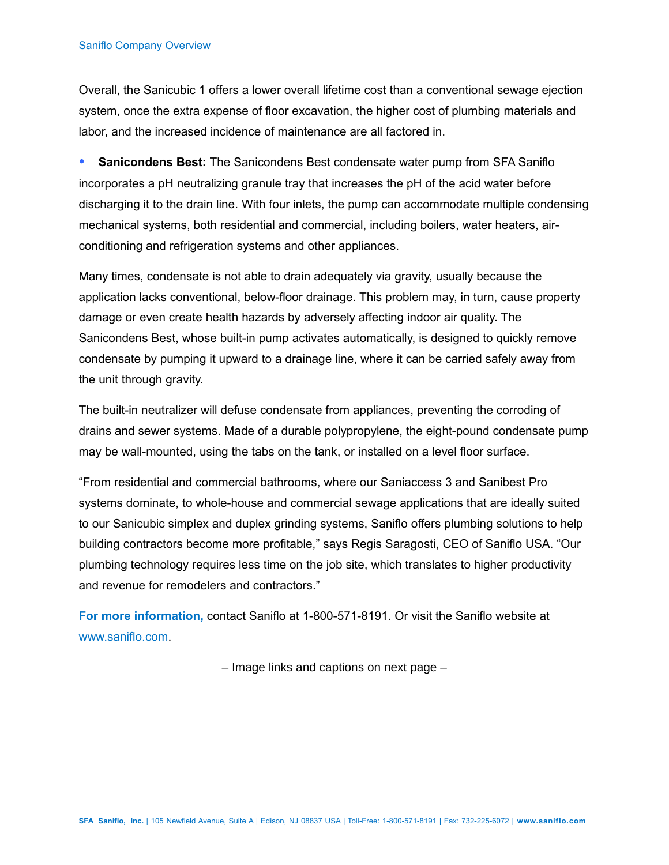## Saniflo Company Overview

Overall, the Sanicubic 1 offers a lower overall lifetime cost than a conventional sewage ejection system, once the extra expense of floor excavation, the higher cost of plumbing materials and labor, and the increased incidence of maintenance are all factored in.

 **Sanicondens Best:** The Sanicondens Best condensate water pump from SFA Saniflo incorporates a pH neutralizing granule tray that increases the pH of the acid water before discharging it to the drain line. With four inlets, the pump can accommodate multiple condensing mechanical systems, both residential and commercial, including boilers, water heaters, airconditioning and refrigeration systems and other appliances.

Many times, condensate is not able to drain adequately via gravity, usually because the application lacks conventional, below-floor drainage. This problem may, in turn, cause property damage or even create health hazards by adversely affecting indoor air quality. The Sanicondens Best, whose built-in pump activates automatically, is designed to quickly remove condensate by pumping it upward to a drainage line, where it can be carried safely away from the unit through gravity.

The built-in neutralizer will defuse condensate from appliances, preventing the corroding of drains and sewer systems. Made of a durable polypropylene, the eight-pound condensate pump may be wall-mounted, using the tabs on the tank, or installed on a level floor surface.

"From residential and commercial bathrooms, where our Saniaccess 3 and Sanibest Pro systems dominate, to whole-house and commercial sewage applications that are ideally suited to our Sanicubic simplex and duplex grinding systems, Saniflo offers plumbing solutions to help building contractors become more profitable," says Regis Saragosti, CEO of Saniflo USA. "Our plumbing technology requires less time on the job site, which translates to higher productivity and revenue for remodelers and contractors."

**For more information,** contact Saniflo at 1-800-571-8191. Or visit the Saniflo website at [www.saniflo.com.](http://www.saniflo.com/)

– Image links and captions on next page –